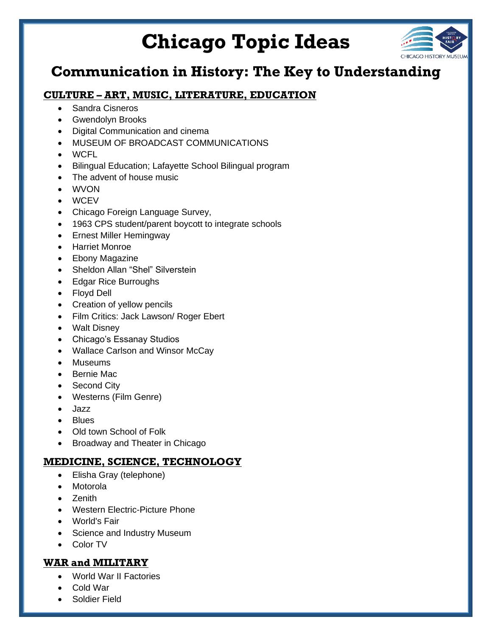# **Chicago Topic Ideas**



# **Communication in History: The Key to Understanding**

## CULTURE – ART, MUSIC, LITERATURE, EDUCATION

- Sandra Cisneros
- Gwendolyn Brooks
- Digital Communication and cinema
- MUSEUM OF BROADCAST COMMUNICATIONS
- WCFL
- Bilingual Education; Lafayette School Bilingual program
- The advent of house music
- WVON
- WCEV
- Chicago Foreign Language Survey,
- 1963 CPS student/parent boycott to integrate schools
- Ernest Miller Hemingway
- Harriet Monroe
- Ebony Magazine
- Sheldon Allan "Shel" Silverstein
- Edgar Rice Burroughs
- Floyd Dell
- Creation of yellow pencils
- Film Critics: Jack Lawson/ Roger Ebert
- Walt Disney
- Chicago's Essanay Studios
- Wallace Carlson and Winsor McCay
- Museums
- Bernie Mac
- Second City
- Westerns (Film Genre)
- Jazz
- Blues
- Old town School of Folk
- Broadway and Theater in Chicago

# MEDICINE, SCIENCE, TECHNOLOGY

- Elisha Gray (telephone)
- Motorola
- Zenith
- Western Electric-Picture Phone
- World's Fair
- Science and Industry Museum
- Color TV

# WAR and MILITARY

- World War II Factories
- Cold War
- Soldier Field